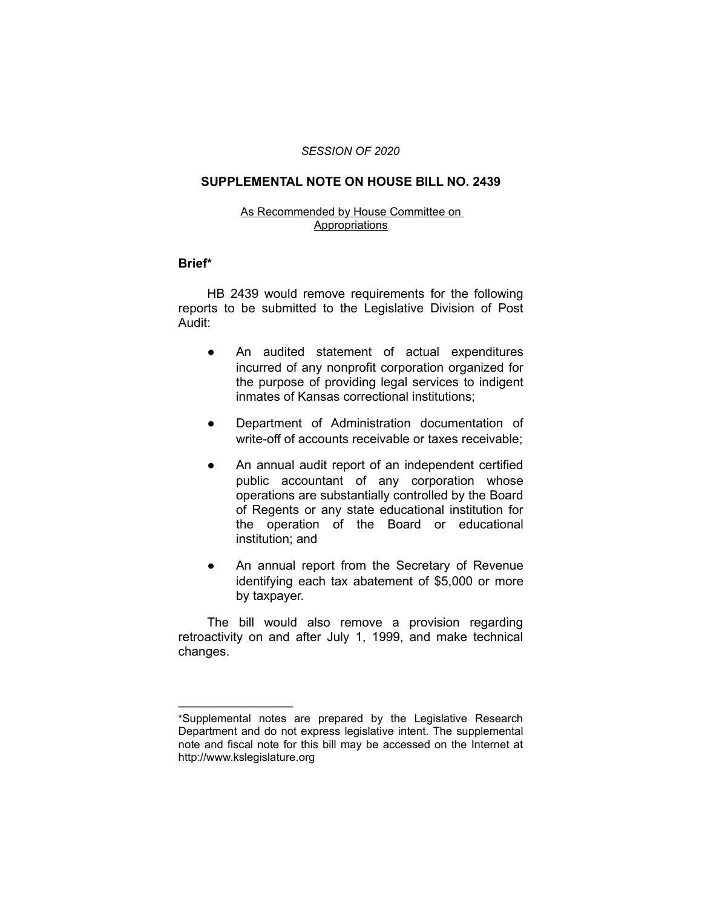## *SESSION OF 2020*

## **SUPPLEMENTAL NOTE ON HOUSE BILL NO. 2439**

#### As Recommended by House Committee on **Appropriations**

### **Brief\***

HB 2439 would remove requirements for the following reports to be submitted to the Legislative Division of Post Audit:

- An audited statement of actual expenditures incurred of any nonprofit corporation organized for the purpose of providing legal services to indigent inmates of Kansas correctional institutions;
- Department of Administration documentation of write-off of accounts receivable or taxes receivable;
- An annual audit report of an independent certified public accountant of any corporation whose operations are substantially controlled by the Board of Regents or any state educational institution for the operation of the Board or educational institution; and
- An annual report from the Secretary of Revenue identifying each tax abatement of \$5,000 or more by taxpayer.

The bill would also remove a provision regarding retroactivity on and after July 1, 1999, and make technical changes.

 $\overline{\phantom{a}}$  , where  $\overline{\phantom{a}}$  , where  $\overline{\phantom{a}}$ 

<sup>\*</sup>Supplemental notes are prepared by the Legislative Research Department and do not express legislative intent. The supplemental note and fiscal note for this bill may be accessed on the Internet at http://www.kslegislature.org